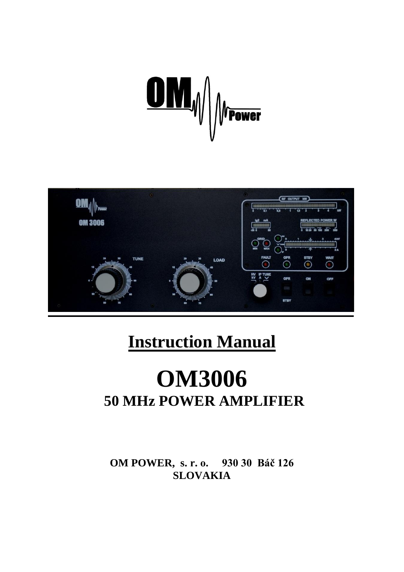



# **Instruction Manual**

# **OM3006 50 MHz POWER AMPLIFIER**

**OM POWER, s. r. o. 930 30 Báč 126 SLOVAKIA**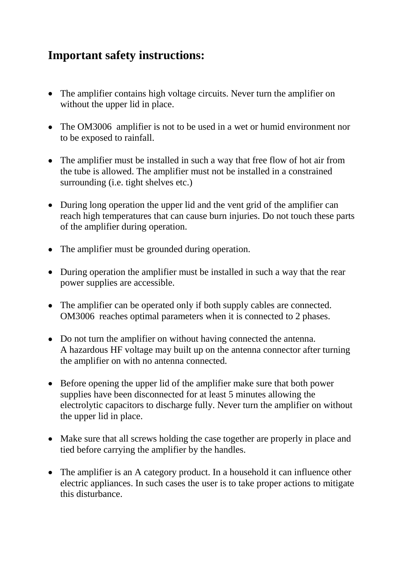### **Important safety instructions:**

- The amplifier contains high voltage circuits. Never turn the amplifier on without the upper lid in place.
- The OM3006 amplifier is not to be used in a wet or humid environment nor to be exposed to rainfall.
- The amplifier must be installed in such a way that free flow of hot air from the tube is allowed. The amplifier must not be installed in a constrained surrounding (i.e. tight shelves etc.)
- During long operation the upper lid and the vent grid of the amplifier can reach high temperatures that can cause burn injuries. Do not touch these parts of the amplifier during operation.
- The amplifier must be grounded during operation.
- During operation the amplifier must be installed in such a way that the rear power supplies are accessible.
- The amplifier can be operated only if both supply cables are connected. OM3006 reaches optimal parameters when it is connected to 2 phases.
- Do not turn the amplifier on without having connected the antenna. A hazardous HF voltage may built up on the antenna connector after turning the amplifier on with no antenna connected.
- Before opening the upper lid of the amplifier make sure that both power supplies have been disconnected for at least 5 minutes allowing the electrolytic capacitors to discharge fully. Never turn the amplifier on without the upper lid in place.
- Make sure that all screws holding the case together are properly in place and tied before carrying the amplifier by the handles.
- The amplifier is an A category product. In a household it can influence other electric appliances. In such cases the user is to take proper actions to mitigate this disturbance.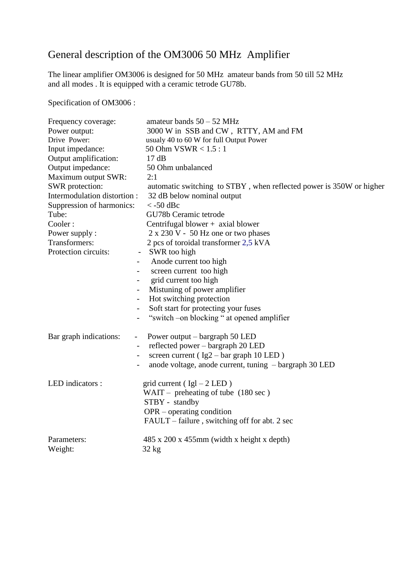### General description of the OM3006 50 MHz Amplifier

The linear amplifier OM3006 is designed for 50 MHz amateur bands from 50 till 52 MHz and all modes . It is equipped with a ceramic tetrode GU78b.

Specification of OM3006 :

| Frequency coverage:                                                                                                                          | amateur bands $50 - 52$ MHz                                                                                                                                                                                                                                                                                                                                                                                                       |
|----------------------------------------------------------------------------------------------------------------------------------------------|-----------------------------------------------------------------------------------------------------------------------------------------------------------------------------------------------------------------------------------------------------------------------------------------------------------------------------------------------------------------------------------------------------------------------------------|
| Power output:                                                                                                                                | 3000 W in SSB and CW, RTTY, AM and FM                                                                                                                                                                                                                                                                                                                                                                                             |
| Drive Power:                                                                                                                                 | usualy 40 to 60 W for full Output Power                                                                                                                                                                                                                                                                                                                                                                                           |
| Input impedance:                                                                                                                             | 50 Ohm $VSWR < 1.5:1$                                                                                                                                                                                                                                                                                                                                                                                                             |
| Output amplification:                                                                                                                        | 17dB                                                                                                                                                                                                                                                                                                                                                                                                                              |
| Output impedance:                                                                                                                            | 50 Ohm unbalanced                                                                                                                                                                                                                                                                                                                                                                                                                 |
| Maximum output SWR:                                                                                                                          | 2:1                                                                                                                                                                                                                                                                                                                                                                                                                               |
| SWR protection:                                                                                                                              | automatic switching to STBY, when reflected power is 350W or higher                                                                                                                                                                                                                                                                                                                                                               |
| Intermodulation distortion :                                                                                                                 | 32 dB below nominal output                                                                                                                                                                                                                                                                                                                                                                                                        |
| Suppression of harmonics:                                                                                                                    | $\langle$ -50 dBc                                                                                                                                                                                                                                                                                                                                                                                                                 |
| Tube:                                                                                                                                        | GU78b Ceramic tetrode                                                                                                                                                                                                                                                                                                                                                                                                             |
| Cooler:<br>Power supply :<br>Transformers:<br>Protection circuits:<br>$\blacksquare$<br>$\overline{\phantom{0}}$<br>$\overline{\phantom{a}}$ | Centrifugal blower + axial blower<br>$2 \times 230$ V - 50 Hz one or two phases<br>2 pcs of toroidal transformer 2,5 kVA<br>SWR too high<br>$\qquad \qquad \blacksquare$<br>Anode current too high<br>screen current too high<br>$-$<br>grid current too high<br>$\blacksquare$<br>Mistuning of power amplifier<br>Hot switching protection<br>Soft start for protecting your fuses<br>"switch -on blocking " at opened amplifier |
| Bar graph indications:<br>$-$<br>$\overline{\phantom{a}}$                                                                                    | Power output – bargraph 50 LED<br>reflected power – bargraph 20 LED<br>screen current ( $Ig2 - bar$ graph 10 LED)<br>anode voltage, anode current, tuning – bargraph 30 LED                                                                                                                                                                                                                                                       |
| LED indicators :                                                                                                                             | grid current ( $Igl - 2 LED$ )<br>WAIT – preheating of tube $(180 \text{ sec})$<br>STBY - standby<br>$OPR$ – operating condition<br>FAULT – failure, switching off for abt. 2 sec                                                                                                                                                                                                                                                 |
| Parameters:                                                                                                                                  | $485 \times 200 \times 455$ mm (width x height x depth)                                                                                                                                                                                                                                                                                                                                                                           |
| Weight:                                                                                                                                      | $32$ kg                                                                                                                                                                                                                                                                                                                                                                                                                           |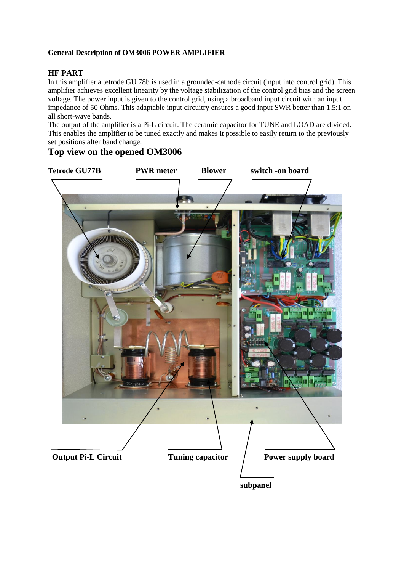#### **General Description of OM3006 POWER AMPLIFIER**

#### **HF PART**

In this amplifier a tetrode GU 78b is used in a grounded-cathode circuit (input into control grid). This amplifier achieves excellent linearity by the voltage stabilization of the control grid bias and the screen voltage. The power input is given to the control grid, using a broadband input circuit with an input impedance of 50 Ohms. This adaptable input circuitry ensures a good input SWR better than 1.5:1 on all short-wave bands.

The output of the amplifier is a Pi-L circuit. The ceramic capacitor for TUNE and LOAD are divided. This enables the amplifier to be tuned exactly and makes it possible to easily return to the previously set positions after band change.

#### **Top view on the opened OM3006**

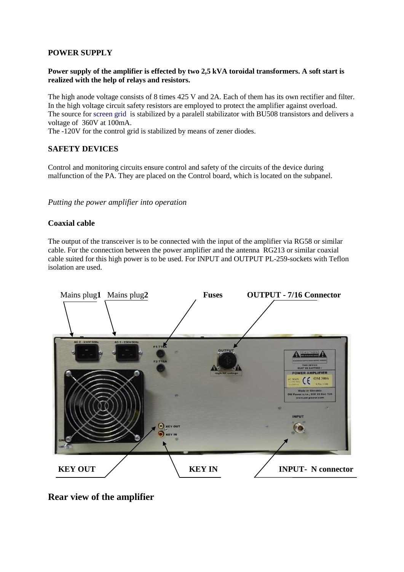#### **POWER SUPPLY**

#### **Power supply of the amplifier is effected by two 2,5 kVA toroidal transformers. A soft start is realized with the help of relays and resistors.**

The high anode voltage consists of 8 times 425 V and 2A. Each of them has its own rectifier and filter. In the high voltage circuit safety resistors are employed to protect the amplifier against overload. The source for screen grid is stabilized by a paralell stabilizator with BU508 transistors and delivers a voltage of 360V at 100mA.

The -120V for the control grid is stabilized by means of zener diodes.

#### **SAFETY DEVICES**

Control and monitoring circuits ensure control and safety of the circuits of the device during malfunction of the PA. They are placed on the Control board, which is located on the subpanel.

*Putting the power amplifier into operation*

#### **Coaxial cable**

The output of the transceiver is to be connected with the input of the amplifier via RG58 or similar cable. For the connection between the power amplifier and the antenna RG213 or similar coaxial cable suited for this high power is to be used. For INPUT and OUTPUT PL-259-sockets with Teflon isolation are used.



**Rear view of the amplifier**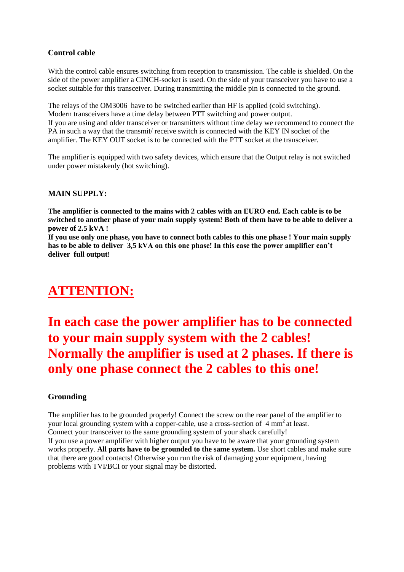#### **Control cable**

With the control cable ensures switching from reception to transmission. The cable is shielded. On the side of the power amplifier a CINCH-socket is used. On the side of your transceiver you have to use a socket suitable for this transceiver. During transmitting the middle pin is connected to the ground.

The relays of the OM3006 have to be switched earlier than HF is applied (cold switching). Modern transceivers have a time delay between PTT switching and power output. If you are using and older transceiver or transmitters without time delay we recommend to connect the PA in such a way that the transmit/ receive switch is connected with the KEY IN socket of the amplifier. The KEY OUT socket is to be connected with the PTT socket at the transceiver.

The amplifier is equipped with two safety devices, which ensure that the Output relay is not switched under power mistakenly (hot switching).

#### **MAIN SUPPLY:**

**The amplifier is connected to the mains with 2 cables with an EURO end. Each cable is to be switched to another phase of your main supply system! Both of them have to be able to deliver a power of 2.5 kVA !** 

**If you use only one phase, you have to connect both cables to this one phase ! Your main supply has to be able to deliver 3,5 kVA on this one phase! In this case the power amplifier can't deliver full output!**

## **ATTENTION:**

## **In each case the power amplifier has to be connected to your main supply system with the 2 cables! Normally the amplifier is used at 2 phases. If there is only one phase connect the 2 cables to this one!**

#### **Grounding**

The amplifier has to be grounded properly! Connect the screw on the rear panel of the amplifier to your local grounding system with a copper-cable, use a cross-section of 4 mm<sup>2</sup> at least. Connect your transceiver to the same grounding system of your shack carefully! If you use a power amplifier with higher output you have to be aware that your grounding system works properly. **All parts have to be grounded to the same system.** Use short cables and make sure that there are good contacts! Otherwise you run the risk of damaging your equipment, having problems with TVI/BCI or your signal may be distorted.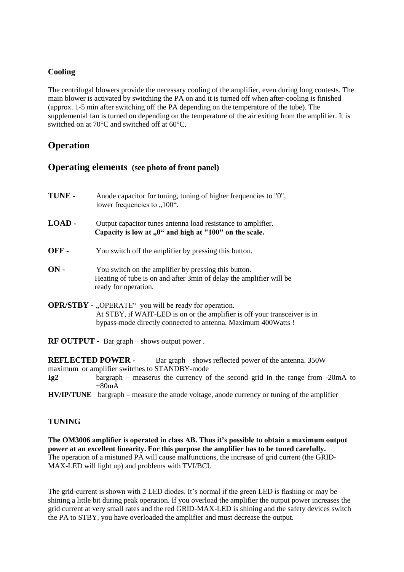#### **Cooling**

The centrifugal blowers provide the necessary cooling of the amplifier, even during long contests. The main blower is activated by switching the PA on and it is turned off when after-cooling is finished (approx. 1-5 min after switching off the PA depending on the temperature of the tube). The supplemental fan is turned on depending on the temperature of the air exiting from the amplifier. It is switched on at 70°C and switched off at 60°C.

#### **Operation**

#### **Operating elements (see photo of front panel)**

- **TUNE -** Anode capacitor for tuning, tuning of higher frequencies to "0", lower frequencies to  $.100^{\circ}$ .
- **LOAD -** Output capacitor tunes antenna load resistance to amplifier. Capacity is low at "0" and high at "100" on the scale.
- **OFF -** You switch off the amplifier by pressing this button.
- **ON -** You switch on the amplifier by pressing this button. Heating of tube is on and after 3min of delay the amplifier will be ready for operation.
- **OPR/STBY -** "OPERATE" you will be ready for operation. At STBY, if WAIT-LED is on or the amplifier is off your transceiver is in bypass-mode directly connected to antenna. Maximum 400Watts !
- **RF OUTPUT -** Bar graph shows output power .

**REFLECTED POWER -** Bar graph – shows reflected power of the antenna. 350W maximum or amplifier switches to STANDBY-mode **Ig2** bargraph – measerus the currency of the second grid in the range from -20mA to +80mA **HV/IP/TUNE** bargraph – measure the anode voltage, anode currency or tuning of the amplifier

#### **TUNING**

**The OM3006 amplifier is operated in class AB. Thus it's possible to obtain a maximum output power at an excellent linearity. For this purpose the amplifier has to be tuned carefully.** The operation of a mistuned PA will cause malfunctions, the increase of grid current (the GRID-MAX-LED will light up) and problems with TVI/BCI.

The grid-current is shown with 2 LED diodes. It's normal if the green LED is flashing or may be shining a little bit during peak operation. If you overload the amplifier the output power increases the grid current at very small rates and the red GRID-MAX-LED is shining and the safety devices switch the PA to STBY, you have overloaded the amplifier and must decrease the output.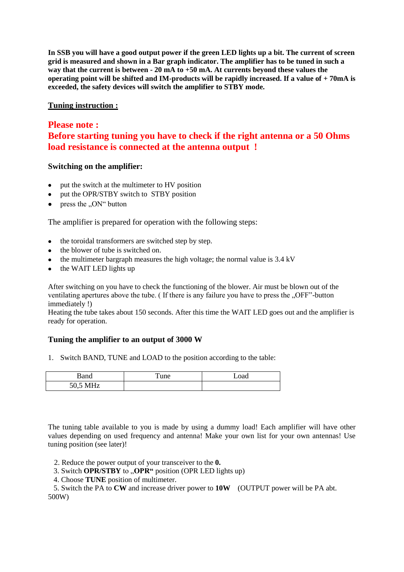**In SSB you will have a good output power if the green LED lights up a bit. The current of screen grid is measured and shown in a Bar graph indicator. The amplifier has to be tuned in such a way that the current is between - 20 mA to +50 mA. At currents beyond these values the operating point will be shifted and IM-products will be rapidly increased. If a value of + 70mA is exceeded, the safety devices will switch the amplifier to STBY mode.**

#### **Tuning instruction :**

#### **Please note : Before starting tuning you have to check if the right antenna or a 50 Ohms load resistance is connected at the antenna output !**

#### **Switching on the amplifier:**

- put the switch at the multimeter to HV position
- put the OPR/STBY switch to STBY position
- press the ..ON" button

The amplifier is prepared for operation with the following steps:

- the toroidal transformers are switched step by step.
- the blower of tube is switched on.
- $\bullet$  the multimeter bargraph measures the high voltage; the normal value is 3.4 kV
- the WAIT LED lights up

After switching on you have to check the functioning of the blower. Air must be blown out of the ventilating apertures above the tube. (If there is any failure you have to press the ...OFF"-button immediately !)

Heating the tube takes about 150 seconds. After this time the WAIT LED goes out and the amplifier is ready for operation.

#### **Tuning the amplifier to an output of 3000 W**

1. Switch BAND, TUNE and LOAD to the position according to the table:

| Band     | $T$ une | Load |
|----------|---------|------|
| 50,5 MHz |         |      |

The tuning table available to you is made by using a dummy load! Each amplifier will have other values depending on used frequency and antenna! Make your own list for your own antennas! Use tuning position (see later)!

- 2. Reduce the power output of your transceiver to the **0.**
- 3. Switch **OPR/STBY** to **"OPR"** position (OPR LED lights up)
- 4. Choose **TUNE** position of multimeter.

 5. Switch the PA to **CW** and increase driver power to **10W** (OUTPUT power will be PA abt. 500W)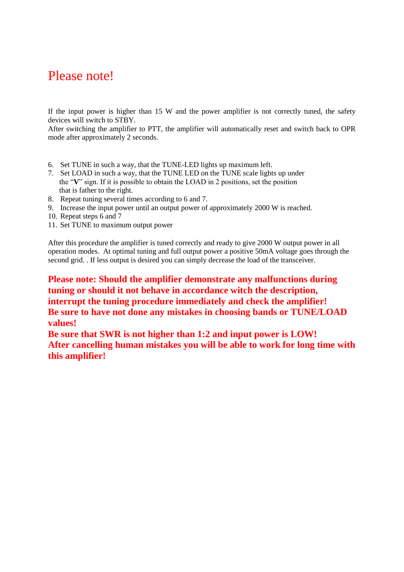### Please note!

If the input power is higher than 15 W and the power amplifier is not correctly tuned, the safety devices will switch to STBY.

After switching the amplifier to PTT, the amplifier will automatically reset and switch back to OPR mode after approximately 2 seconds.

- 6. Set TUNE in such a way, that the TUNE-LED lights up maximum left.
- 7. Set LOAD in such a way, that the TUNE LED on the TUNE scale lights up under the "**V**" sign. If it is possible to obtain the LOAD in 2 positions, set the position that is father to the right.
- 8. Repeat tuning several times according to 6 and 7.
- 9. Increase the input power until an output power of approximately 2000 W is reached.
- 10. Repeat steps 6 and 7
- 11. Set TUNE to maximum output power

After this procedure the amplifier is tuned correctly and ready to give 2000 W output power in all operation modes. At optimal tuning and full output power a positive 50mA voltage goes through the second grid. . If less output is desired you can simply decrease the load of the transceiver.

**Please note: Should the amplifier demonstrate any malfunctions during tuning or should it not behave in accordance witch the description, interrupt the tuning procedure immediately and check the amplifier! Be sure to have not done any mistakes in choosing bands or TUNE/LOAD values!**

**Be sure that SWR is not higher than 1:2 and input power is LOW! After cancelling human mistakes you will be able to work for long time with this amplifier!**